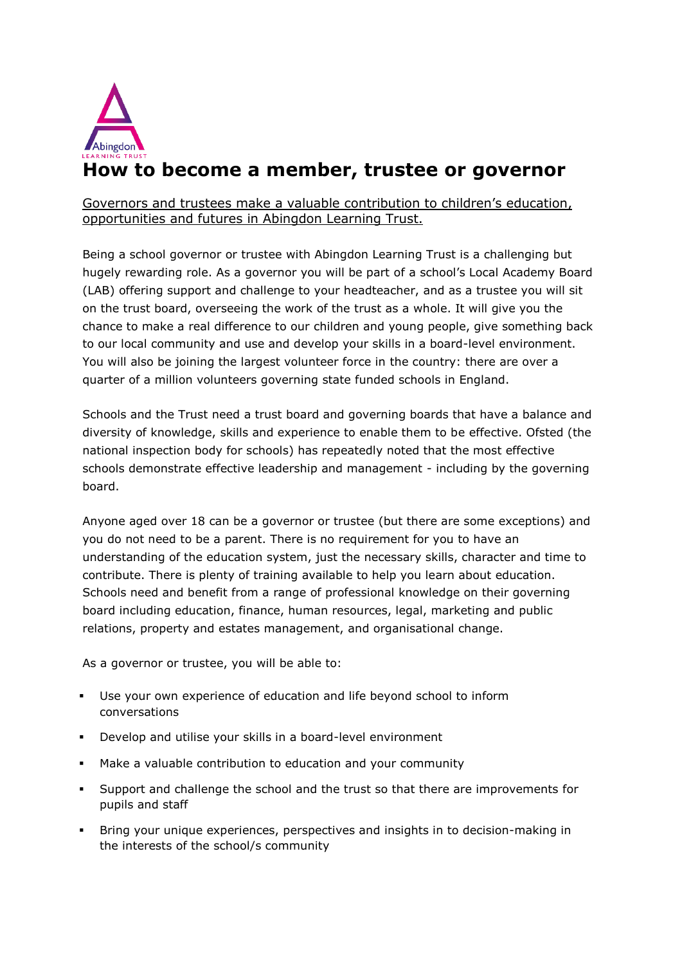

Governors and trustees make a valuable contribution to children's education, opportunities and futures in Abingdon Learning Trust.

Being a school governor or trustee with Abingdon Learning Trust is a challenging but hugely rewarding role. As a governor you will be part of a school's Local Academy Board (LAB) offering support and challenge to your headteacher, and as a trustee you will sit on the trust board, overseeing the work of the trust as a whole. It will give you the chance to make a real difference to our children and young people, give something back to our local community and use and develop your skills in a board-level environment. You will also be joining the largest volunteer force in the country: there are over a quarter of a million volunteers governing state funded schools in England.

Schools and the Trust need a trust board and governing boards that have a balance and diversity of knowledge, skills and experience to enable them to be effective. Ofsted (the national inspection body for schools) has repeatedly noted that the most effective schools demonstrate effective leadership and management - including by the governing board.

Anyone aged over 18 can be a governor or trustee (but there are some exceptions) and you do not need to be a parent. There is no requirement for you to have an understanding of the education system, just the necessary skills, character and time to contribute. There is plenty of training available to help you learn about education. Schools need and benefit from a range of professional knowledge on their governing board including education, finance, human resources, legal, marketing and public relations, property and estates management, and organisational change.

As a governor or trustee, you will be able to:

- Use your own experience of education and life beyond school to inform conversations
- Develop and utilise your skills in a board-level environment
- Make a valuable contribution to education and your community
- Support and challenge the school and the trust so that there are improvements for pupils and staff
- Bring your unique experiences, perspectives and insights in to decision-making in the interests of the school/s community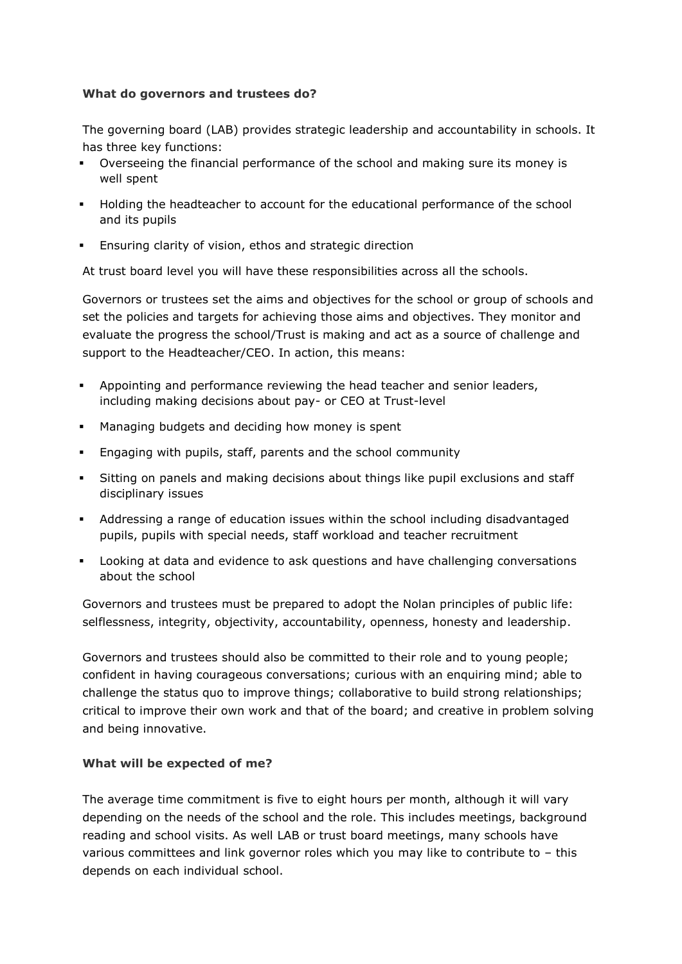## **What do governors and trustees do?**

The governing board (LAB) provides strategic leadership and accountability in schools. It has three key functions:

- Overseeing the financial performance of the school and making sure its money is well spent
- Holding the headteacher to account for the educational performance of the school and its pupils
- Ensuring clarity of vision, ethos and strategic direction

At trust board level you will have these responsibilities across all the schools.

Governors or trustees set the aims and objectives for the school or group of schools and set the policies and targets for achieving those aims and objectives. They monitor and evaluate the progress the school/Trust is making and act as a source of challenge and support to the Headteacher/CEO. In action, this means:

- Appointing and performance reviewing the head teacher and senior leaders, including making decisions about pay- or CEO at Trust-level
- Managing budgets and deciding how money is spent
- Engaging with pupils, staff, parents and the school community
- Sitting on panels and making decisions about things like pupil exclusions and staff disciplinary issues
- Addressing a range of education issues within the school including disadvantaged pupils, pupils with special needs, staff workload and teacher recruitment
- Looking at data and evidence to ask questions and have challenging conversations about the school

Governors and trustees must be prepared to adopt the Nolan principles of public life: selflessness, integrity, objectivity, accountability, openness, honesty and leadership.

Governors and trustees should also be committed to their role and to young people; confident in having courageous conversations; curious with an enquiring mind; able to challenge the status quo to improve things; collaborative to build strong relationships; critical to improve their own work and that of the board; and creative in problem solving and being innovative.

## **What will be expected of me?**

The average time commitment is five to eight hours per month, although it will vary depending on the needs of the school and the role. This includes meetings, background reading and school visits. As well LAB or trust board meetings, many schools have various committees and link governor roles which you may like to contribute to – this depends on each individual school.